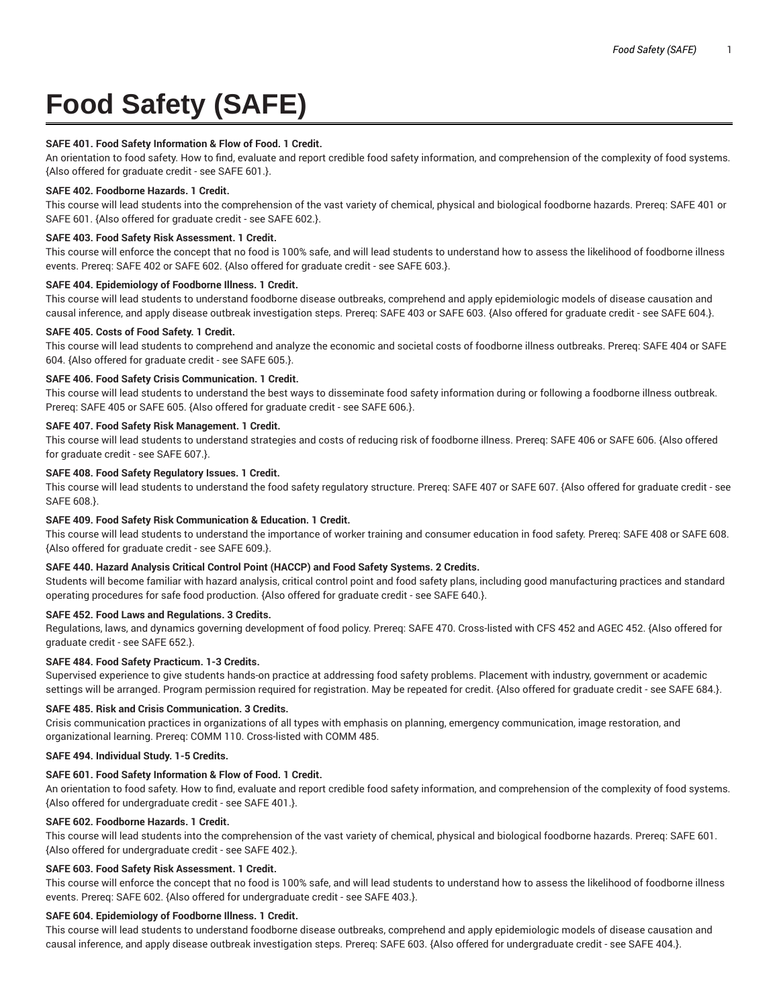# **Food Safety (SAFE)**

## **SAFE 401. Food Safety Information & Flow of Food. 1 Credit.**

An orientation to food safety. How to find, evaluate and report credible food safety information, and comprehension of the complexity of food systems. {Also offered for graduate credit - see SAFE 601.}.

#### **SAFE 402. Foodborne Hazards. 1 Credit.**

This course will lead students into the comprehension of the vast variety of chemical, physical and biological foodborne hazards. Prereq: SAFE 401 or SAFE 601. {Also offered for graduate credit - see SAFE 602.}.

#### **SAFE 403. Food Safety Risk Assessment. 1 Credit.**

This course will enforce the concept that no food is 100% safe, and will lead students to understand how to assess the likelihood of foodborne illness events. Prereq: SAFE 402 or SAFE 602. {Also offered for graduate credit - see SAFE 603.}.

## **SAFE 404. Epidemiology of Foodborne Illness. 1 Credit.**

This course will lead students to understand foodborne disease outbreaks, comprehend and apply epidemiologic models of disease causation and causal inference, and apply disease outbreak investigation steps. Prereq: SAFE 403 or SAFE 603. {Also offered for graduate credit - see SAFE 604.}.

#### **SAFE 405. Costs of Food Safety. 1 Credit.**

This course will lead students to comprehend and analyze the economic and societal costs of foodborne illness outbreaks. Prereq: SAFE 404 or SAFE 604. {Also offered for graduate credit - see SAFE 605.}.

## **SAFE 406. Food Safety Crisis Communication. 1 Credit.**

This course will lead students to understand the best ways to disseminate food safety information during or following a foodborne illness outbreak. Prereq: SAFE 405 or SAFE 605. {Also offered for graduate credit - see SAFE 606.}.

## **SAFE 407. Food Safety Risk Management. 1 Credit.**

This course will lead students to understand strategies and costs of reducing risk of foodborne illness. Prereq: SAFE 406 or SAFE 606. {Also offered for graduate credit - see SAFE 607.}.

## **SAFE 408. Food Safety Regulatory Issues. 1 Credit.**

This course will lead students to understand the food safety regulatory structure. Prereq: SAFE 407 or SAFE 607. {Also offered for graduate credit - see SAFE 608.}.

## **SAFE 409. Food Safety Risk Communication & Education. 1 Credit.**

This course will lead students to understand the importance of worker training and consumer education in food safety. Prereq: SAFE 408 or SAFE 608. {Also offered for graduate credit - see SAFE 609.}.

# **SAFE 440. Hazard Analysis Critical Control Point (HACCP) and Food Safety Systems. 2 Credits.**

Students will become familiar with hazard analysis, critical control point and food safety plans, including good manufacturing practices and standard operating procedures for safe food production. {Also offered for graduate credit - see SAFE 640.}.

# **SAFE 452. Food Laws and Regulations. 3 Credits.**

Regulations, laws, and dynamics governing development of food policy. Prereq: SAFE 470. Cross-listed with CFS 452 and AGEC 452. {Also offered for graduate credit - see SAFE 652.}.

## **SAFE 484. Food Safety Practicum. 1-3 Credits.**

Supervised experience to give students hands-on practice at addressing food safety problems. Placement with industry, government or academic settings will be arranged. Program permission required for registration. May be repeated for credit. {Also offered for graduate credit - see SAFE 684.}.

#### **SAFE 485. Risk and Crisis Communication. 3 Credits.**

Crisis communication practices in organizations of all types with emphasis on planning, emergency communication, image restoration, and organizational learning. Prereq: COMM 110. Cross-listed with COMM 485.

# **SAFE 494. Individual Study. 1-5 Credits.**

## **SAFE 601. Food Safety Information & Flow of Food. 1 Credit.**

An orientation to food safety. How to find, evaluate and report credible food safety information, and comprehension of the complexity of food systems. {Also offered for undergraduate credit - see SAFE 401.}.

#### **SAFE 602. Foodborne Hazards. 1 Credit.**

This course will lead students into the comprehension of the vast variety of chemical, physical and biological foodborne hazards. Prereq: SAFE 601. {Also offered for undergraduate credit - see SAFE 402.}.

## **SAFE 603. Food Safety Risk Assessment. 1 Credit.**

This course will enforce the concept that no food is 100% safe, and will lead students to understand how to assess the likelihood of foodborne illness events. Prereq: SAFE 602. {Also offered for undergraduate credit - see SAFE 403.}.

#### **SAFE 604. Epidemiology of Foodborne Illness. 1 Credit.**

This course will lead students to understand foodborne disease outbreaks, comprehend and apply epidemiologic models of disease causation and causal inference, and apply disease outbreak investigation steps. Prereq: SAFE 603. {Also offered for undergraduate credit - see SAFE 404.}.